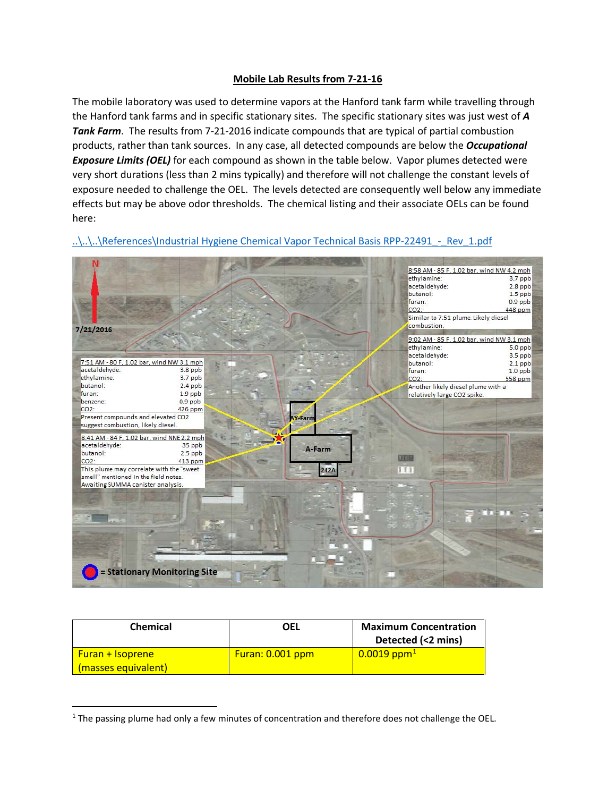## **Mobile Lab Results from 7-21-16**

The mobile laboratory was used to determine vapors at the Hanford tank farm while travelling through the Hanford tank farms and in specific stationary sites. The specific stationary sites was just west of *A Tank Farm*. The results from 7-21-2016 indicate compounds that are typical of partial combustion products, rather than tank sources. In any case, all detected compounds are below the *Occupational Exposure Limits (OEL)* for each compound as shown in the table below. Vapor plumes detected were very short durations (less than 2 mins typically) and therefore will not challenge the constant levels of exposure needed to challenge the OEL. The levels detected are consequently well below any immediate effects but may be above odor thresholds. The chemical listing and their associate OELs can be found here:



..\..\..\References\Industrial Hygiene Chemical Vapor Technical Basis RPP-22491 - Rev\_1.pdf

| <b>Chemical</b>                                | OEL              | <b>Maximum Concentration</b><br>Detected (<2 mins) |
|------------------------------------------------|------------------|----------------------------------------------------|
| <b>Furan + Isoprene</b><br>(masses equivalent) | Furan: 0.001 ppm | $0.0019$ ppm <sup>1</sup>                          |

<span id="page-0-0"></span> $1$  The passing plume had only a few minutes of concentration and therefore does not challenge the OEL.